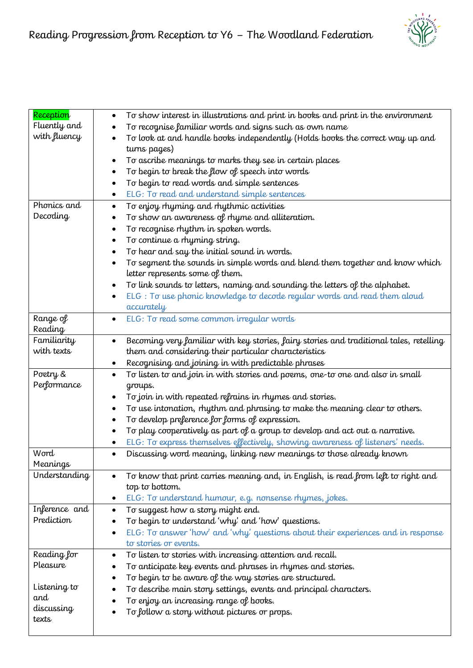

| Reception     |                                                                                               |
|---------------|-----------------------------------------------------------------------------------------------|
| Fluently and  | To show interest in illustrations and print in books and print in the environment             |
|               | To recognise familiar words and signs such as own name                                        |
| with fluency  | To look at and handle books independently (Holds books the correct way up and                 |
|               | turns pages)                                                                                  |
|               | To ascribe meanings to marks they see in certain places                                       |
|               | To begin to break the flow of speech into words                                               |
|               | To begin to read words and simple sentences                                                   |
|               | ELG: To read and understand simple sentences<br>٠                                             |
| Phonics and   | To enjoy rhyming and rhythmic activities<br>٠                                                 |
| Decoding      | To show an awareness of rhyme and alliteration.                                               |
|               | To recognise rhythm in spoken words.<br>$\bullet$                                             |
|               | To continue a rhyming string.                                                                 |
|               | To hear and say the initial sound in words.<br>٠                                              |
|               | To segment the sounds in simple words and blend them together and know which                  |
|               | letter represents some of them.                                                               |
|               | To link sounds to letters, naming and sounding the letters of the alphabet.<br>٠              |
|               | ELG: To use phonic knowledge to decode regular words and read them aloud                      |
|               | accurately                                                                                    |
| Range of      | ELG: To read some common irregular words<br>$\bullet$                                         |
| Reading       |                                                                                               |
| Familiarity   | Becoming very familiar with key stories, fairy stories and traditional tales, retelling<br>٠  |
| with texts    | them and considering their particular characteristics                                         |
|               |                                                                                               |
|               | Recognising and joining in with predictable phrases                                           |
| Poetry &      | To listen to and join in with stories and poems, one-to one and also in small<br>$\bullet$    |
| Performance   | groups.                                                                                       |
|               | To join in with repeated refrains in rhymes and stories.                                      |
|               | To use intonation, rhythm and phrasing to make the meaning clear to others.                   |
|               | To develop preference for forms of expression.<br>$\bullet$                                   |
|               | To play cooperatively as part of a group to develop and act out a narrative.                  |
|               | ELG: To express themselves effectively, showing awareness of listeners' needs.<br>$\bullet$   |
| Word          | Discussing word meaning, linking new meanings to those already known<br>$\bullet$             |
| Meanings      |                                                                                               |
| Understanding | To know that print carries meaning and, in English, is read from left to right and            |
|               | top to bottom.                                                                                |
|               | ELG: To understand humour, e.g. nonsense rhymes, jokes.<br>٠                                  |
| Inference and | To suggest how a story might end.<br>٠                                                        |
| Prediction    | To begin to understand 'why' and 'how' questions.                                             |
|               | ELG: To answer 'how' and 'why' questions about their experiences and in response<br>$\bullet$ |
|               | to stories or events.                                                                         |
| Reading for   | To listen to stories with increasing attention and recall.<br>$\bullet$                       |
| Pleasure      | To anticipate key events and phrases in rhymes and stories.                                   |
|               | To begin to be aware of the way stories are structured.                                       |
| Listening to  | To describe main story settings, events and principal characters.                             |
| and           | To enjoy an increasing range of books.                                                        |
| discussing    |                                                                                               |
| texts         | To follow a story without pictures or props.                                                  |
|               |                                                                                               |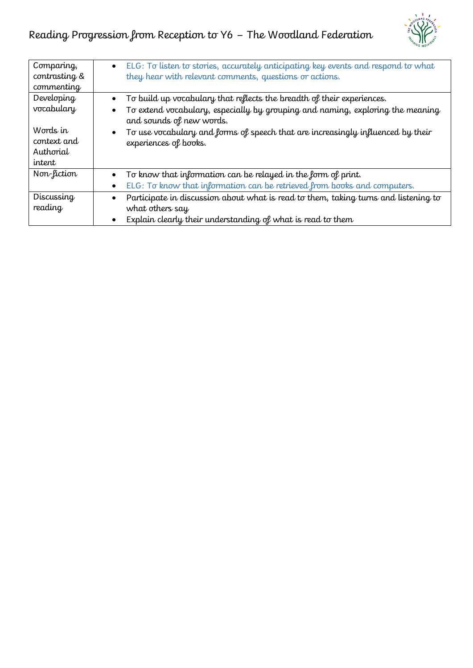

| Comparing,<br>contrasting &<br>commenting           | ELG: To listen to stories, accurately anticipating key events and respond to what<br>$\bullet$<br>they hear with relevant comments, questions or actions.                                                                                                                                        |
|-----------------------------------------------------|--------------------------------------------------------------------------------------------------------------------------------------------------------------------------------------------------------------------------------------------------------------------------------------------------|
| Developing<br>vocabulary<br>Words in<br>context and | To build up vocabulary that reflects the breadth of their experiences.<br>To extend vocabulary, especially by grouping and naming, exploring the meaning<br>and sounds of new words.<br>To use vocabulary and forms of speech that are increasingly influenced by their<br>experiences of books. |
| Authorial<br>intent                                 |                                                                                                                                                                                                                                                                                                  |
| Non-fiction                                         | To know that information can be relayed in the form of print.<br>ELG: To know that information can be retrieved from books and computers.                                                                                                                                                        |
| Discussing<br>reading                               | Participate in discussion about what is read to them, taking turns and listening to<br>what others say<br>Explain clearly their understanding of what is read to them                                                                                                                            |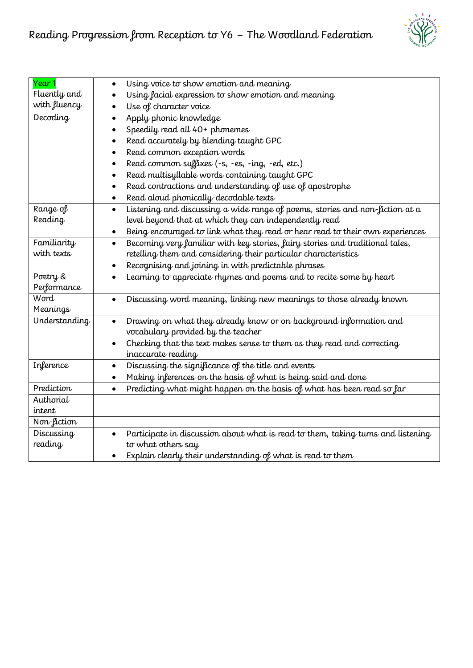

| Year 1          | Using voice to show emotion and meaning<br>$\bullet$                                          |
|-----------------|-----------------------------------------------------------------------------------------------|
| Fluently and    | Using facial expression to show emotion and meaning                                           |
| with fluency    | Use of character voice<br>$\bullet$                                                           |
| Decoding        | Apply phonic knowledge<br>$\bullet$                                                           |
|                 | Speedily read all 40+ phonemes                                                                |
|                 | Read accurately by blending taught GPC<br>$\bullet$                                           |
|                 | Read common exception words<br>$\bullet$                                                      |
|                 | Read common suffixes (-s, -es, -ing, -ed, etc.)<br>$\bullet$                                  |
|                 | Read multisyllable words containing taught GPC<br>$\bullet$                                   |
|                 | Read contractions and understanding of use of apostrophe<br>$\bullet$                         |
|                 | Read aloud phonically-decodable texts<br>$\bullet$                                            |
| Range of        | Listening and discussing a wide range of poems, stories and non-fiction at a<br>$\bullet$     |
| Reading         | level beyond that at which they can independently read                                        |
|                 | Being encouraged to link what they read or hear read to their own experiences<br>$\bullet$    |
| Familiarity     | Becoming very familiar with key stories, fairy stories and traditional tales,<br>$\bullet$    |
| with texts      | retelling them and considering their particular characteristics                               |
|                 | Recognising and joining in with predictable phrases<br>٠                                      |
| Poetry &        | Learning to appreciate rhymes and poems and to recite some by heart<br>$\bullet$              |
| Performance     |                                                                                               |
| Word            | Discussing word meaning, linking new meanings to those already known<br>$\bullet$             |
| <b>Meanings</b> |                                                                                               |
| Understanding   | Drawing on what they already know or on background information and<br>$\bullet$               |
|                 | vocabulary provided by the teacher                                                            |
|                 | Checking that the text makes sense to them as they read and correcting<br>$\bullet$           |
|                 | inaccurate reading                                                                            |
| Inference       | Discussing the significance of the title and events<br>$\bullet$                              |
|                 | Making inferences on the basis of what is being said and done<br>$\bullet$                    |
| Prediction      | Predicting what might happen on the basis of what has been read so far<br>$\bullet$           |
| Authorial       |                                                                                               |
| intent          |                                                                                               |
| Non-fiction     |                                                                                               |
| Discussing      | Participate in discussion about what is read to them, taking turns and listening<br>$\bullet$ |
| reading         | to what others say                                                                            |
|                 | Explain clearly their understanding of what is read to them<br>$\bullet$                      |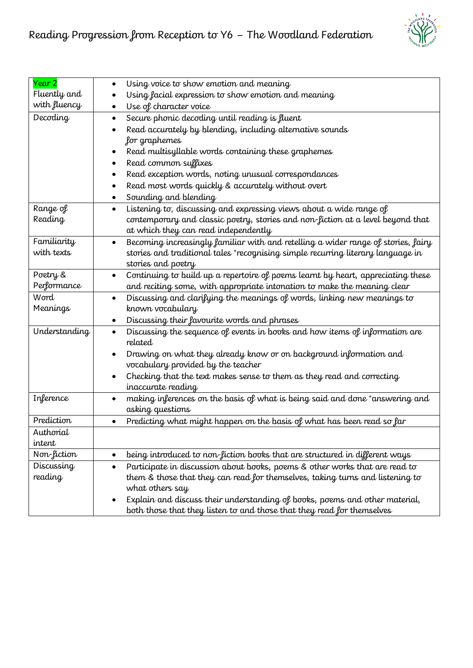

| Year 2          | Using voice to show emotion and meaning<br>$\bullet$                                           |
|-----------------|------------------------------------------------------------------------------------------------|
| Fluently and    | Using facial expression to show emotion and meaning                                            |
| with fluency    | Use of character voice<br>$\bullet$                                                            |
| Decoding        | Secure phonic decoding until reading is fluent<br>$\bullet$                                    |
|                 | Read accurately by blending, including alternative sounds                                      |
|                 | for graphemes                                                                                  |
|                 | Read multisyllable words containing these graphemes                                            |
|                 | Read common suffixes<br>٠                                                                      |
|                 | Read exception words, noting unusual correspondances<br>$\bullet$                              |
|                 | Read most words quickly & accurately without overt<br>$\bullet$                                |
|                 | Sounding and blending<br>٠                                                                     |
| Range of        | Listening to, discussing and expressing views about a wide range of                            |
| Reading         | contemporary and classic poetry, stories and non-fiction at a level beyond that                |
|                 | at which they can read independently                                                           |
| Familiarity     | Becoming increasingly familiar with and retelling a wider range of stories, fairy<br>$\bullet$ |
| with texts      | stories and traditional tales *recognising simple recurring literary language in               |
|                 | stories and poetry                                                                             |
| Poetry &        | Continuing to build up a repertoire of poems learnt by heart, appreciating these<br>$\bullet$  |
| Performance     | and reciting some, with appropriate intonation to make the meaning clear                       |
| Word            | Discussing and clarifying the meanings of words, linking new meanings to<br>$\bullet$          |
| <b>Meanings</b> | known vocabulary                                                                               |
|                 | Discussing their favourite words and phrases<br>٠                                              |
| Understanding   | Discussing the sequence of events in books and how items of information are<br>$\bullet$       |
|                 | related                                                                                        |
|                 | Drawing on what they already know or on background information and<br>$\bullet$                |
|                 | vocabulary provided by the teacher                                                             |
|                 | Checking that the text makes sense to them as they read and correcting<br>$\bullet$            |
|                 | inaccurate reading                                                                             |
| Inference       | making inferences on the basis of what is being said and done *answering and<br>$\bullet$      |
|                 | asking questions                                                                               |
| Prediction      | Predicting what might happen on the basis of what has been read so far<br>$\bullet$            |
| Authorial       |                                                                                                |
| intent          |                                                                                                |
| Non-fiction     | being introduced to non-fiction books that are structured in different ways<br>$\bullet$       |
| Discussing      | Participate in discussion about books, poems & other works that are read to<br>$\bullet$       |
| reading         | them & those that they can read for themselves, taking turns and listening to                  |
|                 | what others say                                                                                |
|                 | Explain and discuss their understanding of books, poems and other material,                    |
|                 | both those that they listen to and those that they read for themselves                         |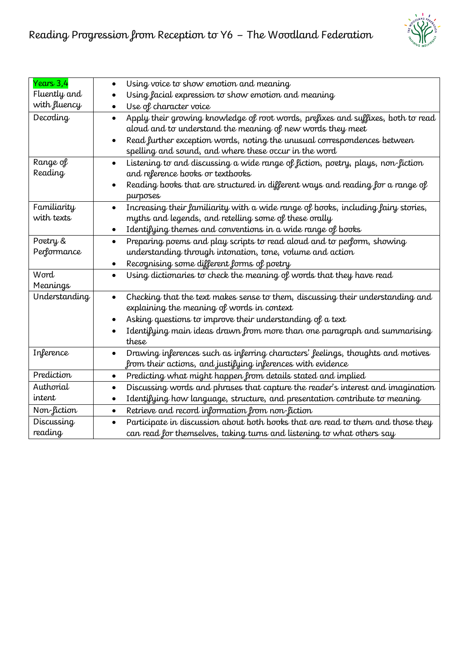

| Years 3,4       | Using voice to show emotion and meaning<br>$\bullet$                                           |
|-----------------|------------------------------------------------------------------------------------------------|
| Fluently and    | Using facial expression to show emotion and meaning                                            |
| with fluency    | Use of character voice<br>$\bullet$                                                            |
| Decoding        | Apply their growing knowledge of root words, prefixes and suffixes, both to read<br>$\bullet$  |
|                 | aloud and to understand the meaning of new words they meet                                     |
|                 | Read further exception words, noting the unusual correspondences between<br>$\bullet$          |
|                 | spelling and sound, and where these occur in the word                                          |
| Range of        | Listening to and discussing a wide range of fiction, poetry, plays, non-fiction<br>$\bullet$   |
| Reading         | and reference books or textbooks                                                               |
|                 | Reading books that are structured in different ways and reading for a range of<br>$\bullet$    |
|                 | purposes                                                                                       |
| Familiarity     | Increasing their familiarity with a wide range of books, including fairy stories,<br>$\bullet$ |
| with texts      | myths and legends, and retelling some of these orally                                          |
|                 | Identifying themes and conventions in a wide range of books<br>$\bullet$                       |
| Poetry &        | Preparing poems and play scripts to read aloud and to perform, showing<br>$\bullet$            |
| Performance     | understanding through intonation, tone, volume and action                                      |
|                 | Recognising some different forms of poetry<br>$\bullet$                                        |
| Word            | Using dictionaries to check the meaning of words that they have read<br>$\bullet$              |
| <b>Meanings</b> |                                                                                                |
| Understanding   | Checking that the text makes sense to them, discussing their understanding and<br>$\bullet$    |
|                 | explaining the meaning of words in context                                                     |
|                 | Asking questions to improve their understanding of a text                                      |
|                 | Identifying main ideas drawn from more than one paragraph and summarising                      |
|                 | these                                                                                          |
| Inference       | Drawing inferences such as inferring characters' feelings, thoughts and motives<br>$\bullet$   |
|                 | from their actions, and justifying inferences with evidence                                    |
| Prediction      | Predicting what might happen from details stated and implied<br>$\bullet$                      |
| Authorial       | Discussing words and phrases that capture the reader's interest and imagination<br>$\bullet$   |
| intent          | Identifying how language, structure, and presentation contribute to meaning<br>$\bullet$       |
| Non-fiction     | Retrieve and record information from non-fiction<br>$\bullet$                                  |
| Discussing      | Participate in discussion about both books that are read to them and those they<br>$\bullet$   |
| reading         | can read for themselves, taking turns and listening to what others say                         |